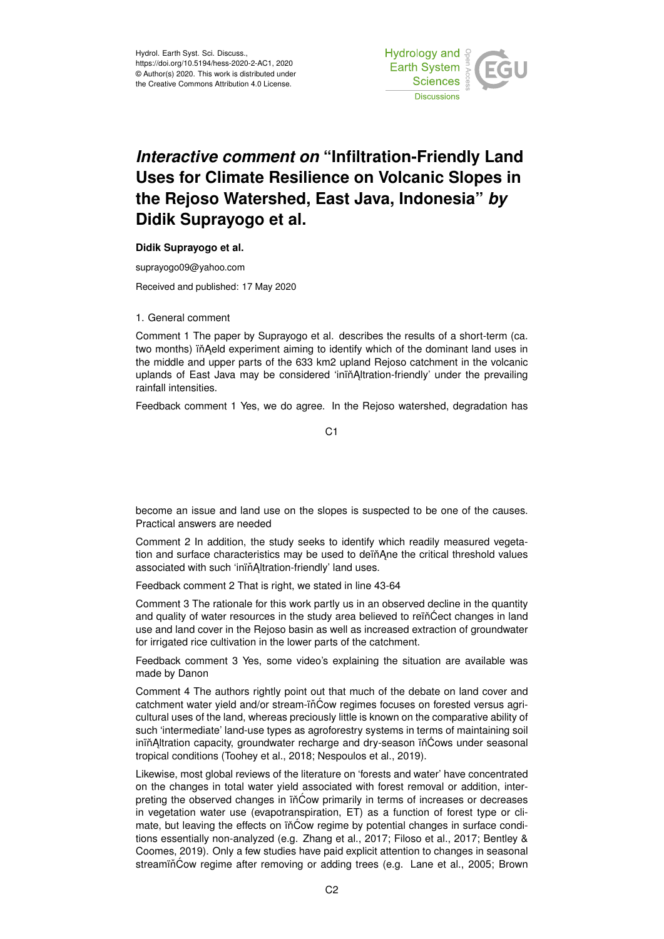

# *Interactive comment on* **"Infiltration-Friendly Land Uses for Climate Resilience on Volcanic Slopes in the Rejoso Watershed, East Java, Indonesia"** *by* **Didik Suprayogo et al.**

#### **Didik Suprayogo et al.**

suprayogo09@yahoo.com

Received and published: 17 May 2020

#### 1. General comment

Comment 1 The paper by Suprayogo et al. describes the results of a short-term (ca. two months) in Aeld experiment aiming to identify which of the dominant land uses in the middle and upper parts of the 633 km2 upland Rejoso catchment in the volcanic uplands of East Java may be considered 'inin Altration-friendly' under the prevailing rainfall intensities.

Feedback comment 1 Yes, we do agree. In the Rejoso watershed, degradation has

C1

become an issue and land use on the slopes is suspected to be one of the causes. Practical answers are needed

Comment 2 In addition, the study seeks to identify which readily measured vegetation and surface characteristics may be used to deïňAne the critical threshold values associated with such 'ininAltration-friendly' land uses.

Feedback comment 2 That is right, we stated in line 43-64

Comment 3 The rationale for this work partly us in an observed decline in the quantity and quality of water resources in the study area believed to rein Cect changes in land use and land cover in the Rejoso basin as well as increased extraction of groundwater for irrigated rice cultivation in the lower parts of the catchment.

Feedback comment 3 Yes, some video's explaining the situation are available was made by Danon

Comment 4 The authors rightly point out that much of the debate on land cover and catchment water yield and/or stream-in $\acute{C}$ ow regimes focuses on forested versus agricultural uses of the land, whereas preciously little is known on the comparative ability of such 'intermediate' land-use types as agroforestry systems in terms of maintaining soil inin Altration capacity, groundwater recharge and dry-season in Cows under seasonal tropical conditions (Toohey et al., 2018; Nespoulos et al., 2019).

Likewise, most global reviews of the literature on 'forests and water' have concentrated on the changes in total water yield associated with forest removal or addition, interpreting the observed changes in in Cow primarily in terms of increases or decreases in vegetation water use (evapotranspiration, ET) as a function of forest type or climate, but leaving the effects on  $i\tilde{n}$ Cow regime by potential changes in surface conditions essentially non-analyzed (e.g. Zhang et al., 2017; Filoso et al., 2017; Bentley & Coomes, 2019). Only a few studies have paid explicit attention to changes in seasonal streaminCow regime after removing or adding trees (e.g. Lane et al., 2005; Brown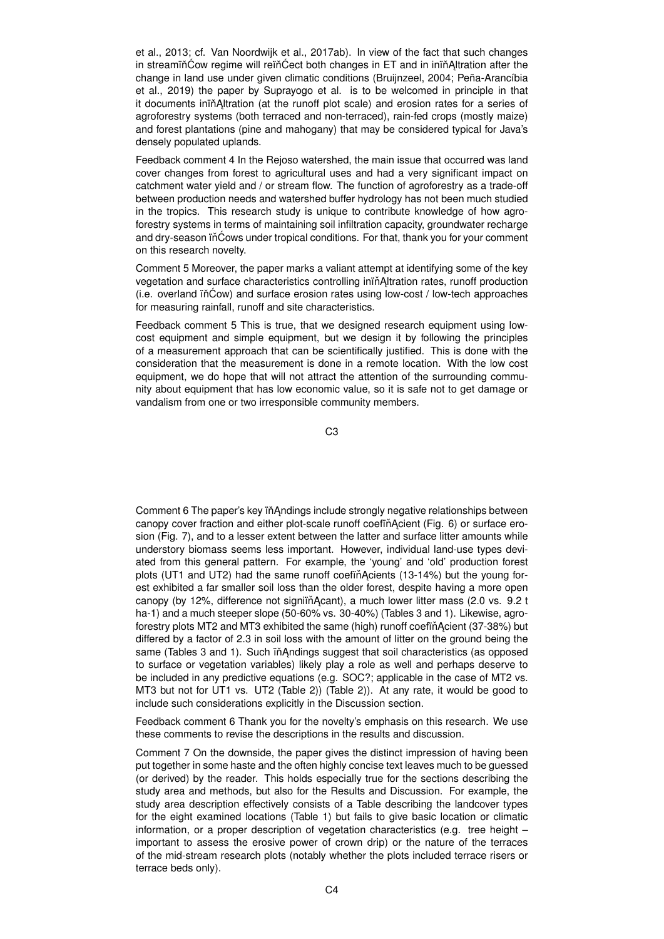et al., 2013; cf. Van Noordwijk et al., 2017ab). In view of the fact that such changes in streamin Cow regime will rein Cect both changes in ET and in inin<sup>*Altration* after the</sup> change in land use under given climatic conditions (Bruijnzeel, 2004; Peña-Arancíbia et al., 2019) the paper by Suprayogo et al. is to be welcomed in principle in that it documents iniňAltration (at the runoff plot scale) and erosion rates for a series of agroforestry systems (both terraced and non-terraced), rain-fed crops (mostly maize) and forest plantations (pine and mahogany) that may be considered typical for Java's densely populated uplands.

Feedback comment 4 In the Rejoso watershed, the main issue that occurred was land cover changes from forest to agricultural uses and had a very significant impact on catchment water yield and / or stream flow. The function of agroforestry as a trade-off between production needs and watershed buffer hydrology has not been much studied in the tropics. This research study is unique to contribute knowledge of how agroforestry systems in terms of maintaining soil infiltration capacity, groundwater recharge and dry-season in Cows under tropical conditions. For that, thank you for your comment on this research novelty.

Comment 5 Moreover, the paper marks a valiant attempt at identifying some of the key vegetation and surface characteristics controlling inin Altration rates, runoff production  $(i.e.$  overland  $iñ$ Ćow) and surface erosion rates using low-cost  $/$  low-tech approaches for measuring rainfall, runoff and site characteristics.

Feedback comment 5 This is true, that we designed research equipment using lowcost equipment and simple equipment, but we design it by following the principles of a measurement approach that can be scientifically justified. This is done with the consideration that the measurement is done in a remote location. With the low cost equipment, we do hope that will not attract the attention of the surrounding community about equipment that has low economic value, so it is safe not to get damage or vandalism from one or two irresponsible community members.

C3

Comment 6 The paper's key in Andings include strongly negative relationships between canopy cover fraction and either plot-scale runoff coefin Acient (Fig. 6) or surface erosion (Fig. 7), and to a lesser extent between the latter and surface litter amounts while understory biomass seems less important. However, individual land-use types deviated from this general pattern. For example, the 'young' and 'old' production forest plots (UT1 and UT2) had the same runoff coefinacients  $(13-14%)$  but the young forest exhibited a far smaller soil loss than the older forest, despite having a more open canopy (by 12%, difference not signiiň Acant), a much lower litter mass (2.0 vs. 9.2 t ha-1) and a much steeper slope (50-60% vs. 30-40%) (Tables 3 and 1). Likewise, agroforestry plots MT2 and MT3 exhibited the same (high) runoff coefin Acient (37-38%) but differed by a factor of 2.3 in soil loss with the amount of litter on the ground being the same (Tables 3 and 1). Such in Andings suggest that soil characteristics (as opposed to surface or vegetation variables) likely play a role as well and perhaps deserve to be included in any predictive equations (e.g. SOC?; applicable in the case of MT2 vs. MT3 but not for UT1 vs. UT2 (Table 2)) (Table 2)). At any rate, it would be good to include such considerations explicitly in the Discussion section.

Feedback comment 6 Thank you for the novelty's emphasis on this research. We use these comments to revise the descriptions in the results and discussion.

Comment 7 On the downside, the paper gives the distinct impression of having been put together in some haste and the often highly concise text leaves much to be guessed (or derived) by the reader. This holds especially true for the sections describing the study area and methods, but also for the Results and Discussion. For example, the study area description effectively consists of a Table describing the landcover types for the eight examined locations (Table 1) but fails to give basic location or climatic information, or a proper description of vegetation characteristics (e.g. tree height – important to assess the erosive power of crown drip) or the nature of the terraces of the mid-stream research plots (notably whether the plots included terrace risers or terrace beds only).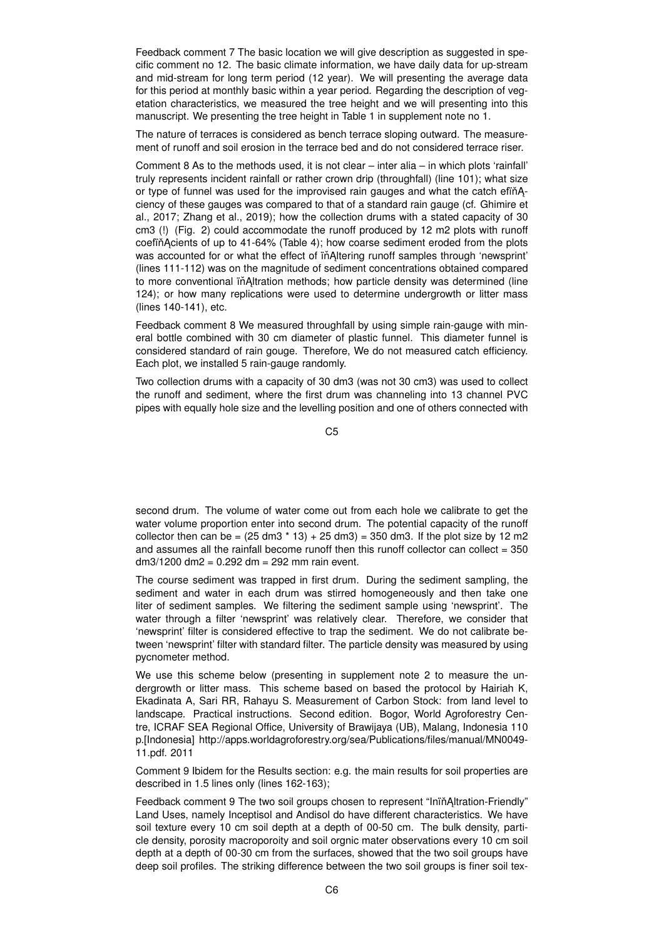Feedback comment 7 The basic location we will give description as suggested in specific comment no 12. The basic climate information, we have daily data for up-stream and mid-stream for long term period (12 year). We will presenting the average data for this period at monthly basic within a year period. Regarding the description of vegetation characteristics, we measured the tree height and we will presenting into this manuscript. We presenting the tree height in Table 1 in supplement note no 1.

The nature of terraces is considered as bench terrace sloping outward. The measurement of runoff and soil erosion in the terrace bed and do not considered terrace riser.

Comment 8 As to the methods used, it is not clear – inter alia – in which plots 'rainfall' truly represents incident rainfall or rather crown drip (throughfall) (line 101); what size or type of funnel was used for the improvised rain gauges and what the catch efinAciency of these gauges was compared to that of a standard rain gauge (cf. Ghimire et al., 2017; Zhang et al., 2019); how the collection drums with a stated capacity of 30 cm3 (!) (Fig. 2) could accommodate the runoff produced by 12 m2 plots with runoff coefin Acients of up to 41-64% (Table 4); how coarse sediment eroded from the plots was accounted for or what the effect of in Altering runoff samples through 'newsprint' (lines 111-112) was on the magnitude of sediment concentrations obtained compared to more conventional in Altration methods; how particle density was determined (line 124); or how many replications were used to determine undergrowth or litter mass (lines 140-141), etc.

Feedback comment 8 We measured throughfall by using simple rain-gauge with mineral bottle combined with 30 cm diameter of plastic funnel. This diameter funnel is considered standard of rain gouge. Therefore, We do not measured catch efficiency. Each plot, we installed 5 rain-gauge randomly.

Two collection drums with a capacity of 30 dm3 (was not 30 cm3) was used to collect the runoff and sediment, where the first drum was channeling into 13 channel PVC pipes with equally hole size and the levelling position and one of others connected with

C5

second drum. The volume of water come out from each hole we calibrate to get the water volume proportion enter into second drum. The potential capacity of the runoff collector then can be =  $(25 \text{ dm}3 \cdot 13) + 25 \text{ dm}3) = 350 \text{ dm}3$ . If the plot size by 12 m2 and assumes all the rainfall become runoff then this runoff collector can collect  $= 350$ dm3/1200 dm2 = 0.292 dm = 292 mm rain event.

The course sediment was trapped in first drum. During the sediment sampling, the sediment and water in each drum was stirred homogeneously and then take one liter of sediment samples. We filtering the sediment sample using 'newsprint'. The water through a filter 'newsprint' was relatively clear. Therefore, we consider that 'newsprint' filter is considered effective to trap the sediment. We do not calibrate between 'newsprint' filter with standard filter. The particle density was measured by using pycnometer method.

We use this scheme below (presenting in supplement note 2 to measure the undergrowth or litter mass. This scheme based on based the protocol by Hairiah K, Ekadinata A, Sari RR, Rahayu S. Measurement of Carbon Stock: from land level to landscape. Practical instructions. Second edition. Bogor, World Agroforestry Centre, ICRAF SEA Regional Office, University of Brawijaya (UB), Malang, Indonesia 110 p.[Indonesia] http://apps.worldagroforestry.org/sea/Publications/files/manual/MN0049- 11.pdf. 2011

Comment 9 Ibidem for the Results section: e.g. the main results for soil properties are described in 1.5 lines only (lines 162-163);

Feedback comment 9 The two soil groups chosen to represent "Inin Altration-Friendly" Land Uses, namely Inceptisol and Andisol do have different characteristics. We have soil texture every 10 cm soil depth at a depth of 00-50 cm. The bulk density, particle density, porosity macroporoity and soil orgnic mater observations every 10 cm soil depth at a depth of 00-30 cm from the surfaces, showed that the two soil groups have deep soil profiles. The striking difference between the two soil groups is finer soil tex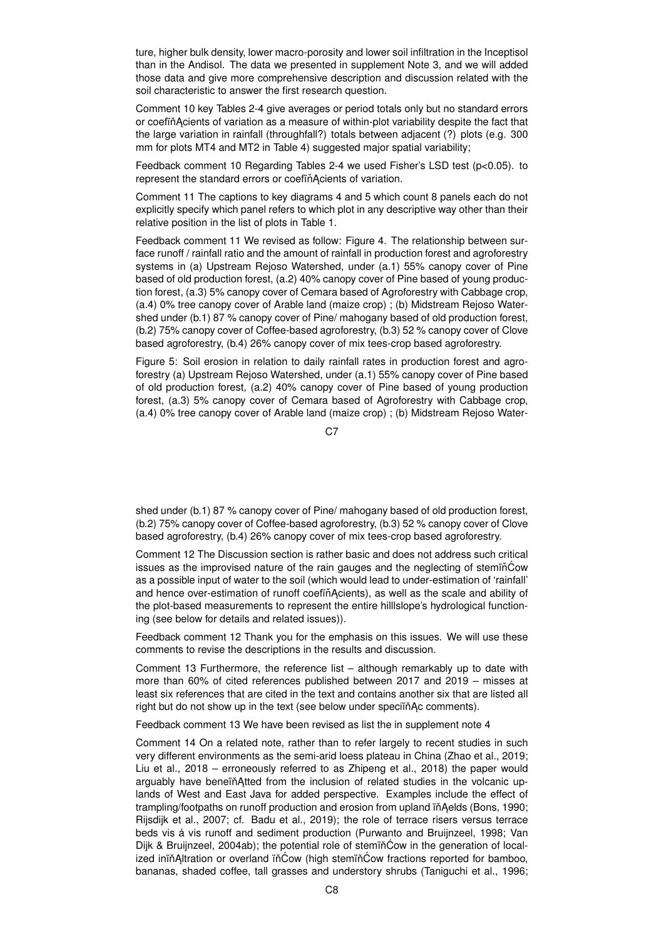ture, higher bulk density, lower macro-porosity and lower soil infiltration in the Inceptisol than in the Andisol. The data we presented in supplement Note 3, and we will added those data and give more comprehensive description and discussion related with the soil characteristic to answer the first research question.

Comment 10 key Tables 2-4 give averages or period totals only but no standard errors or coefin Acients of variation as a measure of within-plot variability despite the fact that the large variation in rainfall (throughfall?) totals between adjacent (?) plots (e.g. 300 mm for plots MT4 and MT2 in Table 4) suggested major spatial variability;

Feedback comment 10 Regarding Tables 2-4 we used Fisher's LSD test (p<0.05). to represent the standard errors or coefinAcients of variation.

Comment 11 The captions to key diagrams 4 and 5 which count 8 panels each do not explicitly specify which panel refers to which plot in any descriptive way other than their relative position in the list of plots in Table 1.

Feedback comment 11 We revised as follow: Figure 4. The relationship between surface runoff / rainfall ratio and the amount of rainfall in production forest and agroforestry systems in (a) Upstream Rejoso Watershed, under (a.1) 55% canopy cover of Pine based of old production forest, (a.2) 40% canopy cover of Pine based of young production forest, (a.3) 5% canopy cover of Cemara based of Agroforestry with Cabbage crop, (a.4) 0% tree canopy cover of Arable land (maize crop) ; (b) Midstream Rejoso Watershed under (b.1) 87 % canopy cover of Pine/ mahogany based of old production forest, (b.2) 75% canopy cover of Coffee-based agroforestry, (b.3) 52 % canopy cover of Clove based agroforestry, (b.4) 26% canopy cover of mix tees-crop based agroforestry.

Figure 5: Soil erosion in relation to daily rainfall rates in production forest and agroforestry (a) Upstream Rejoso Watershed, under (a.1) 55% canopy cover of Pine based of old production forest, (a.2) 40% canopy cover of Pine based of young production forest, (a.3) 5% canopy cover of Cemara based of Agroforestry with Cabbage crop, (a.4) 0% tree canopy cover of Arable land (maize crop) ; (b) Midstream Rejoso Water-

C7

shed under (b.1) 87 % canopy cover of Pine/ mahogany based of old production forest, (b.2) 75% canopy cover of Coffee-based agroforestry, (b.3) 52 % canopy cover of Clove based agroforestry, (b.4) 26% canopy cover of mix tees-crop based agroforestry.

Comment 12 The Discussion section is rather basic and does not address such critical issues as the improvised nature of the rain gauges and the neglecting of steminCow as a possible input of water to the soil (which would lead to under-estimation of 'rainfall' and hence over-estimation of runoff coefiňAcients), as well as the scale and ability of the plot-based measurements to represent the entire hilllslope's hydrological functioning (see below for details and related issues)).

Feedback comment 12 Thank you for the emphasis on this issues. We will use these comments to revise the descriptions in the results and discussion.

Comment 13 Furthermore, the reference list – although remarkably up to date with more than 60% of cited references published between 2017 and 2019 – misses at least six references that are cited in the text and contains another six that are listed all right but do not show up in the text (see below under speciin Ac comments).

Feedback comment 13 We have been revised as list the in supplement note 4

Comment 14 On a related note, rather than to refer largely to recent studies in such very different environments as the semi-arid loess plateau in China (Zhao et al., 2019; Liu et al., 2018 – erroneously referred to as Zhipeng et al., 2018) the paper would arguably have benein Atted from the inclusion of related studies in the volcanic uplands of West and East Java for added perspective. Examples include the effect of trampling/footpaths on runoff production and erosion from upland in Aelds (Bons, 1990; Rijsdijk et al., 2007; cf. Badu et al., 2019); the role of terrace risers versus terrace beds vis á vis runoff and sediment production (Purwanto and Bruijnzeel, 1998; Van Dijk & Bruijnzeel, 2004ab); the potential role of stemin̆Cow in the generation of localized iniňĄltration or overland iňĆow (high stemiňĆow fractions reported for bamboo, bananas, shaded coffee, tall grasses and understory shrubs (Taniguchi et al., 1996;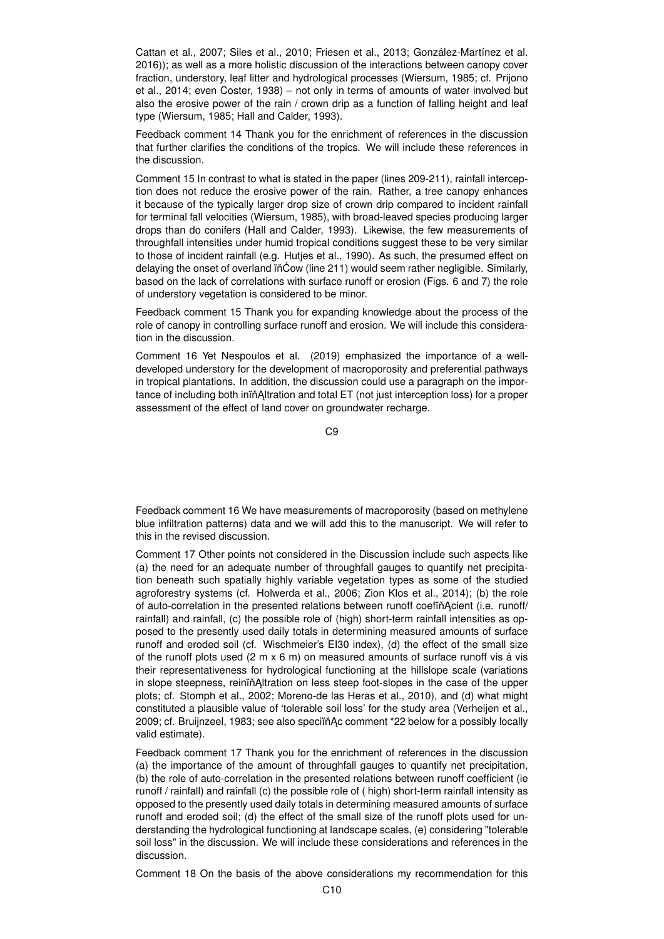Cattan et al., 2007; Siles et al., 2010; Friesen et al., 2013; González-Martínez et al. 2016)); as well as a more holistic discussion of the interactions between canopy cover fraction, understory, leaf litter and hydrological processes (Wiersum, 1985; cf. Prijono et al., 2014; even Coster, 1938) – not only in terms of amounts of water involved but also the erosive power of the rain / crown drip as a function of falling height and leaf type (Wiersum, 1985; Hall and Calder, 1993).

Feedback comment 14 Thank you for the enrichment of references in the discussion that further clarifies the conditions of the tropics. We will include these references in the discussion.

Comment 15 In contrast to what is stated in the paper (lines 209-211), rainfall interception does not reduce the erosive power of the rain. Rather, a tree canopy enhances it because of the typically larger drop size of crown drip compared to incident rainfall for terminal fall velocities (Wiersum, 1985), with broad-leaved species producing larger drops than do conifers (Hall and Calder, 1993). Likewise, the few measurements of throughfall intensities under humid tropical conditions suggest these to be very similar to those of incident rainfall (e.g. Hutjes et al., 1990). As such, the presumed effect on delaying the onset of overland  $\tilde{\text{in}}$ Cow (line 211) would seem rather negligible. Similarly, based on the lack of correlations with surface runoff or erosion (Figs. 6 and 7) the role of understory vegetation is considered to be minor.

Feedback comment 15 Thank you for expanding knowledge about the process of the role of canopy in controlling surface runoff and erosion. We will include this consideration in the discussion.

Comment 16 Yet Nespoulos et al. (2019) emphasized the importance of a welldeveloped understory for the development of macroporosity and preferential pathways in tropical plantations. In addition, the discussion could use a paragraph on the importance of including both ininAltration and total ET (not just interception loss) for a proper assessment of the effect of land cover on groundwater recharge.

C9

Feedback comment 16 We have measurements of macroporosity (based on methylene blue infiltration patterns) data and we will add this to the manuscript. We will refer to this in the revised discussion.

Comment 17 Other points not considered in the Discussion include such aspects like (a) the need for an adequate number of throughfall gauges to quantify net precipitation beneath such spatially highly variable vegetation types as some of the studied agroforestry systems (cf. Holwerda et al., 2006; Zion Klos et al., 2014); (b) the role of auto-correlation in the presented relations between runoff coefinAcient (i.e. runoff/ rainfall) and rainfall, (c) the possible role of (high) short-term rainfall intensities as opposed to the presently used daily totals in determining measured amounts of surface runoff and eroded soil (cf. Wischmeier's EI30 index), (d) the effect of the small size of the runoff plots used  $(2 \text{ m} \times 6 \text{ m})$  on measured amounts of surface runoff vis á vis their representativeness for hydrological functioning at the hillslope scale (variations in slope steepness, reinin Altration on less steep foot-slopes in the case of the upper plots; cf. Stomph et al., 2002; Moreno-de las Heras et al., 2010), and (d) what might constituted a plausible value of 'tolerable soil loss' for the study area (Verheijen et al., 2009; cf. Bruijnzeel, 1983; see also speciïňAc comment \*22 below for a possibly locally valid estimate).

Feedback comment 17 Thank you for the enrichment of references in the discussion (a) the importance of the amount of throughfall gauges to quantify net precipitation, (b) the role of auto-correlation in the presented relations between runoff coefficient (ie runoff / rainfall) and rainfall (c) the possible role of ( high) short-term rainfall intensity as opposed to the presently used daily totals in determining measured amounts of surface runoff and eroded soil; (d) the effect of the small size of the runoff plots used for understanding the hydrological functioning at landscape scales, (e) considering "tolerable soil loss" in the discussion. We will include these considerations and references in the discussion.

Comment 18 On the basis of the above considerations my recommendation for this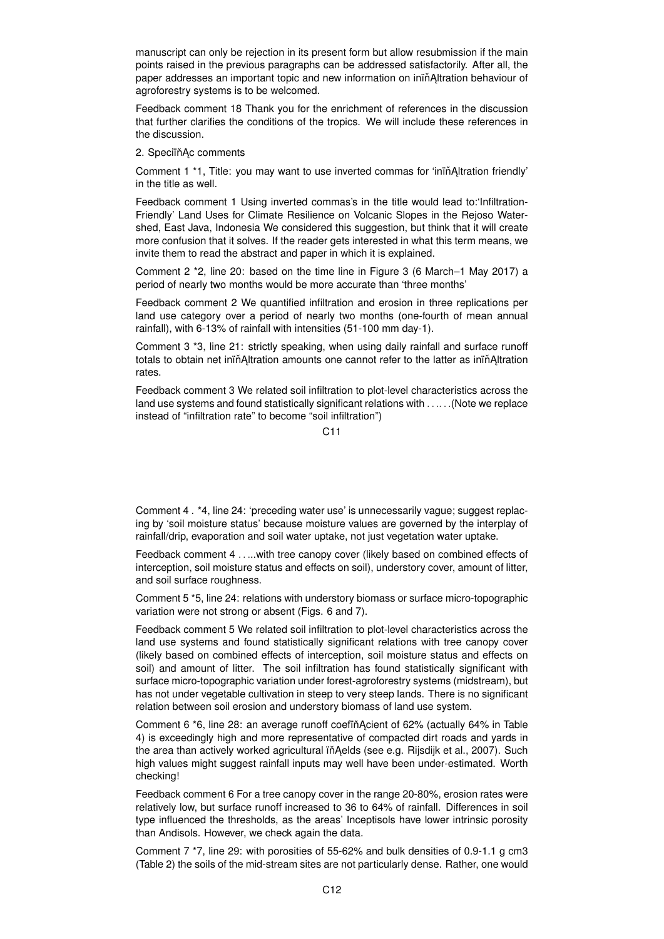manuscript can only be rejection in its present form but allow resubmission if the main points raised in the previous paragraphs can be addressed satisfactorily. After all, the paper addresses an important topic and new information on ininAltration behaviour of agroforestry systems is to be welcomed.

Feedback comment 18 Thank you for the enrichment of references in the discussion that further clarifies the conditions of the tropics. We will include these references in the discussion.

### 2. SpeciïňĄc comments

Comment 1 \*1, Title: you may want to use inverted commas for 'inin<sup>A</sup>ltration friendly' in the title as well.

Feedback comment 1 Using inverted commas's in the title would lead to:'Infiltration-Friendly' Land Uses for Climate Resilience on Volcanic Slopes in the Rejoso Watershed, East Java, Indonesia We considered this suggestion, but think that it will create more confusion that it solves. If the reader gets interested in what this term means, we invite them to read the abstract and paper in which it is explained.

Comment 2 \*2, line 20: based on the time line in Figure 3 (6 March–1 May 2017) a period of nearly two months would be more accurate than 'three months'

Feedback comment 2 We quantified infiltration and erosion in three replications per land use category over a period of nearly two months (one-fourth of mean annual rainfall), with 6-13% of rainfall with intensities (51-100 mm day-1).

Comment 3 \*3, line 21: strictly speaking, when using daily rainfall and surface runoff totals to obtain net inin Altration amounts one cannot refer to the latter as inin Altration rates.

Feedback comment 3 We related soil infiltration to plot-level characteristics across the land use systems and found statistically significant relations with . . .. . .(Note we replace instead of "infiltration rate" to become "soil infiltration")

 $C<sub>11</sub>$ 

Comment 4 . \*4, line 24: 'preceding water use' is unnecessarily vague; suggest replacing by 'soil moisture status' because moisture values are governed by the interplay of rainfall/drip, evaporation and soil water uptake, not just vegetation water uptake.

Feedback comment 4 . . ...with tree canopy cover (likely based on combined effects of interception, soil moisture status and effects on soil), understory cover, amount of litter, and soil surface roughness.

Comment 5 \*5, line 24: relations with understory biomass or surface micro-topographic variation were not strong or absent (Figs. 6 and 7).

Feedback comment 5 We related soil infiltration to plot-level characteristics across the land use systems and found statistically significant relations with tree canopy cover (likely based on combined effects of interception, soil moisture status and effects on soil) and amount of litter. The soil infiltration has found statistically significant with surface micro-topographic variation under forest-agroforestry systems (midstream), but has not under vegetable cultivation in steep to very steep lands. There is no significant relation between soil erosion and understory biomass of land use system.

Comment 6 \*6, line 28: an average runoff coefiň Acient of 62% (actually 64% in Table 4) is exceedingly high and more representative of compacted dirt roads and yards in the area than actively worked agricultural in Aelds (see e.g. Rijsdijk et al., 2007). Such high values might suggest rainfall inputs may well have been under-estimated. Worth checking!

Feedback comment 6 For a tree canopy cover in the range 20-80%, erosion rates were relatively low, but surface runoff increased to 36 to 64% of rainfall. Differences in soil type influenced the thresholds, as the areas' Inceptisols have lower intrinsic porosity than Andisols. However, we check again the data.

Comment 7 \*7, line 29: with porosities of 55-62% and bulk densities of 0.9-1.1 g cm3 (Table 2) the soils of the mid-stream sites are not particularly dense. Rather, one would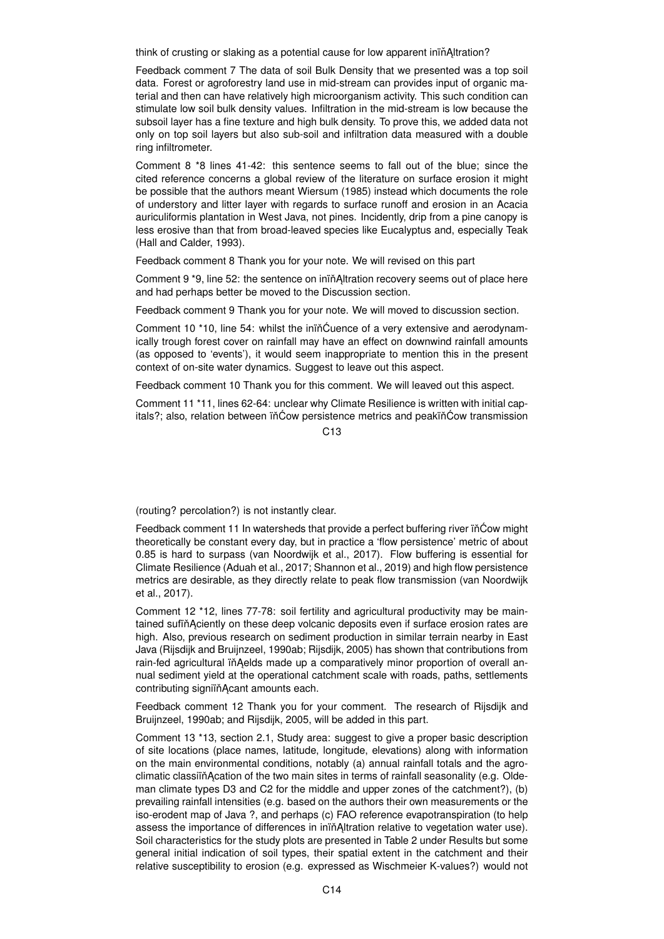think of crusting or slaking as a potential cause for low apparent ining Altration?

Feedback comment 7 The data of soil Bulk Density that we presented was a top soil data. Forest or agroforestry land use in mid-stream can provides input of organic material and then can have relatively high microorganism activity. This such condition can stimulate low soil bulk density values. Infiltration in the mid-stream is low because the subsoil layer has a fine texture and high bulk density. To prove this, we added data not only on top soil layers but also sub-soil and infiltration data measured with a double ring infiltrometer.

Comment 8 \*8 lines 41-42: this sentence seems to fall out of the blue; since the cited reference concerns a global review of the literature on surface erosion it might be possible that the authors meant Wiersum (1985) instead which documents the role of understory and litter layer with regards to surface runoff and erosion in an Acacia auriculiformis plantation in West Java, not pines. Incidently, drip from a pine canopy is less erosive than that from broad-leaved species like Eucalyptus and, especially Teak (Hall and Calder, 1993).

Feedback comment 8 Thank you for your note. We will revised on this part

Comment 9 \*9, line 52: the sentence on inin Altration recovery seems out of place here and had perhaps better be moved to the Discussion section.

Feedback comment 9 Thank you for your note. We will moved to discussion section.

Comment 10 \*10, line 54: whilst the inin^Cuence of a very extensive and aerodynamically trough forest cover on rainfall may have an effect on downwind rainfall amounts (as opposed to 'events'), it would seem inappropriate to mention this in the present context of on-site water dynamics. Suggest to leave out this aspect.

Feedback comment 10 Thank you for this comment. We will leaved out this aspect.

Comment 11 \*11, lines 62-64: unclear why Climate Resilience is written with initial capitals?; also, relation between in Cow persistence metrics and peakin Cow transmission

 $C<sub>13</sub>$ 

(routing? percolation?) is not instantly clear.

Feedback comment 11 In watersheds that provide a perfect buffering river in Cow might theoretically be constant every day, but in practice a 'flow persistence' metric of about 0.85 is hard to surpass (van Noordwijk et al., 2017). Flow buffering is essential for Climate Resilience (Aduah et al., 2017; Shannon et al., 2019) and high flow persistence metrics are desirable, as they directly relate to peak flow transmission (van Noordwijk et al., 2017).

Comment 12 \*12, lines 77-78: soil fertility and agricultural productivity may be maintained sufiň Aciently on these deep volcanic deposits even if surface erosion rates are high. Also, previous research on sediment production in similar terrain nearby in East Java (Rijsdijk and Bruijnzeel, 1990ab; Rijsdijk, 2005) has shown that contributions from rain-fed agricultural in Aelds made up a comparatively minor proportion of overall annual sediment yield at the operational catchment scale with roads, paths, settlements contributing signiïňAcant amounts each.

Feedback comment 12 Thank you for your comment. The research of Rijsdijk and Bruijnzeel, 1990ab; and Rijsdijk, 2005, will be added in this part.

Comment 13 \*13, section 2.1, Study area: suggest to give a proper basic description of site locations (place names, latitude, longitude, elevations) along with information on the main environmental conditions, notably (a) annual rainfall totals and the agroclimatic classiïn Acation of the two main sites in terms of rainfall seasonality (e.g. Oldeman climate types D3 and C2 for the middle and upper zones of the catchment?), (b) prevailing rainfall intensities (e.g. based on the authors their own measurements or the iso-erodent map of Java ?, and perhaps (c) FAO reference evapotranspiration (to help assess the importance of differences in iniñAltration relative to vegetation water use). Soil characteristics for the study plots are presented in Table 2 under Results but some general initial indication of soil types, their spatial extent in the catchment and their relative susceptibility to erosion (e.g. expressed as Wischmeier K-values?) would not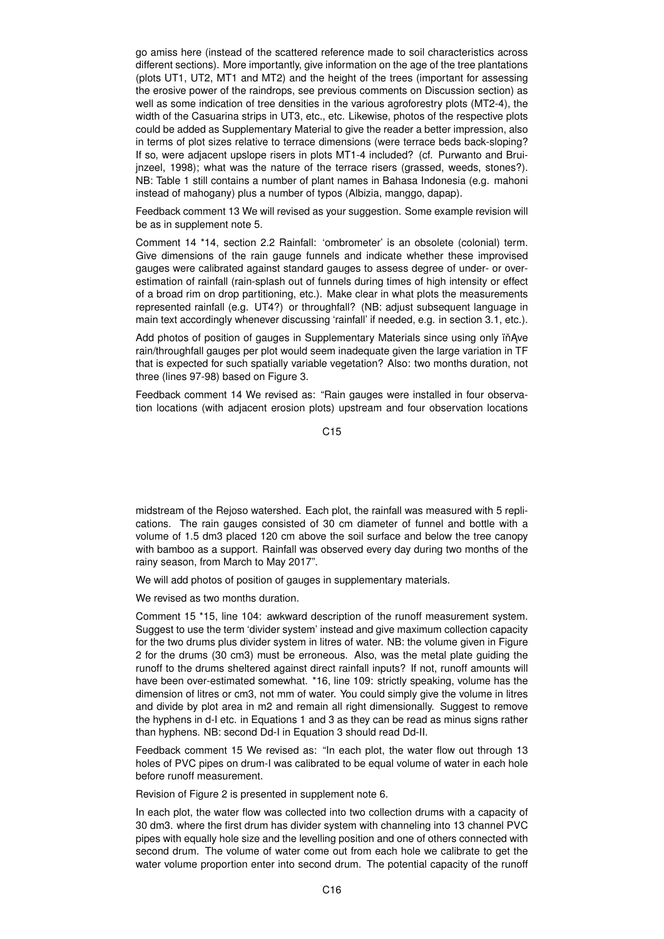go amiss here (instead of the scattered reference made to soil characteristics across different sections). More importantly, give information on the age of the tree plantations (plots UT1, UT2, MT1 and MT2) and the height of the trees (important for assessing the erosive power of the raindrops, see previous comments on Discussion section) as well as some indication of tree densities in the various agroforestry plots (MT2-4), the width of the Casuarina strips in UT3, etc., etc. Likewise, photos of the respective plots could be added as Supplementary Material to give the reader a better impression, also in terms of plot sizes relative to terrace dimensions (were terrace beds back-sloping? If so, were adjacent upslope risers in plots MT1-4 included? (cf. Purwanto and Bruijnzeel, 1998); what was the nature of the terrace risers (grassed, weeds, stones?). NB: Table 1 still contains a number of plant names in Bahasa Indonesia (e.g. mahoni instead of mahogany) plus a number of typos (Albizia, manggo, dapap).

Feedback comment 13 We will revised as your suggestion. Some example revision will be as in supplement note 5.

Comment 14 \*14, section 2.2 Rainfall: 'ombrometer' is an obsolete (colonial) term. Give dimensions of the rain gauge funnels and indicate whether these improvised gauges were calibrated against standard gauges to assess degree of under- or overestimation of rainfall (rain-splash out of funnels during times of high intensity or effect of a broad rim on drop partitioning, etc.). Make clear in what plots the measurements represented rainfall (e.g. UT4?) or throughfall? (NB: adjust subsequent language in main text accordingly whenever discussing 'rainfall' if needed, e.g. in section 3.1, etc.).

Add photos of position of gauges in Supplementary Materials since using only in Ave rain/throughfall gauges per plot would seem inadequate given the large variation in TF that is expected for such spatially variable vegetation? Also: two months duration, not three (lines 97-98) based on Figure 3.

Feedback comment 14 We revised as: "Rain gauges were installed in four observation locations (with adjacent erosion plots) upstream and four observation locations

C<sub>15</sub>

midstream of the Rejoso watershed. Each plot, the rainfall was measured with 5 replications. The rain gauges consisted of 30 cm diameter of funnel and bottle with a volume of 1.5 dm3 placed 120 cm above the soil surface and below the tree canopy with bamboo as a support. Rainfall was observed every day during two months of the rainy season, from March to May 2017".

We will add photos of position of gauges in supplementary materials.

We revised as two months duration.

Comment 15 \*15, line 104: awkward description of the runoff measurement system. Suggest to use the term 'divider system' instead and give maximum collection capacity for the two drums plus divider system in litres of water. NB: the volume given in Figure 2 for the drums (30 cm3) must be erroneous. Also, was the metal plate guiding the runoff to the drums sheltered against direct rainfall inputs? If not, runoff amounts will have been over-estimated somewhat. \*16, line 109: strictly speaking, volume has the dimension of litres or cm3, not mm of water. You could simply give the volume in litres and divide by plot area in m2 and remain all right dimensionally. Suggest to remove the hyphens in d-I etc. in Equations 1 and 3 as they can be read as minus signs rather than hyphens. NB: second Dd-I in Equation 3 should read Dd-II.

Feedback comment 15 We revised as: "In each plot, the water flow out through 13 holes of PVC pipes on drum-I was calibrated to be equal volume of water in each hole before runoff measurement.

Revision of Figure 2 is presented in supplement note 6.

In each plot, the water flow was collected into two collection drums with a capacity of 30 dm3. where the first drum has divider system with channeling into 13 channel PVC pipes with equally hole size and the levelling position and one of others connected with second drum. The volume of water come out from each hole we calibrate to get the water volume proportion enter into second drum. The potential capacity of the runoff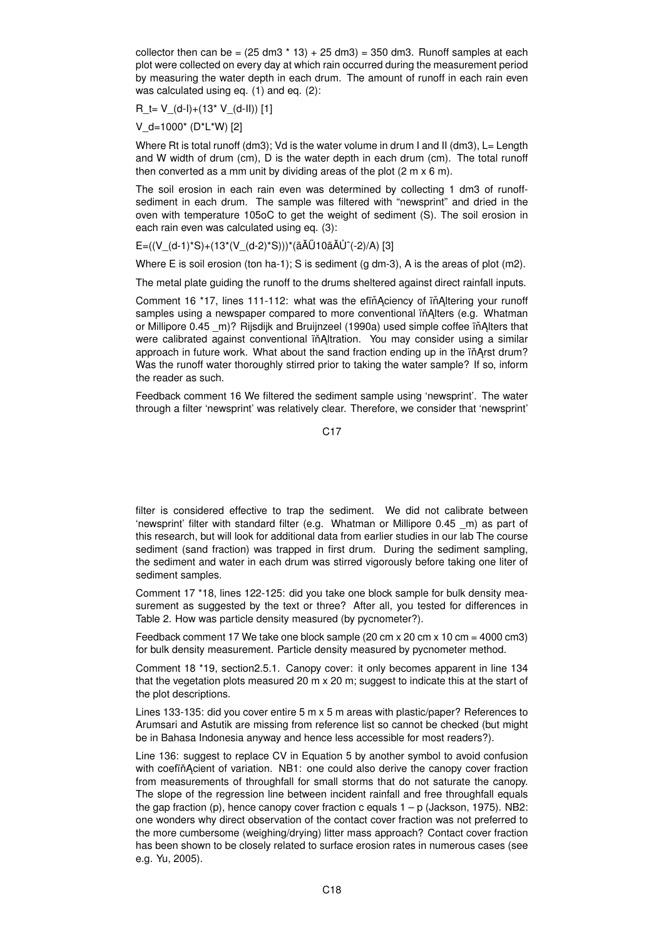collector then can be =  $(25 \text{ dm}3 \cdot 13) + 25 \text{ dm}3) = 350 \text{ dm}3$ . Runoff samples at each plot were collected on every day at which rain occurred during the measurement period by measuring the water depth in each drum. The amount of runoff in each rain even was calculated using eq. (1) and eq. (2):

 $R_t = V(d-l)+(13* V(d-l))$  [1]

V\_d=1000\* (D\*L\*W) [2]

Where Rt is total runoff (dm3); Vd is the water volume in drum I and II (dm3), L= Length and W width of drum (cm), D is the water depth in each drum (cm). The total runoff then converted as a mm unit by dividing areas of the plot (2 m x 6 m).

The soil erosion in each rain even was determined by collecting 1 dm3 of runoffsediment in each drum. The sample was filtered with "newsprint" and dried in the oven with temperature 105oC to get the weight of sediment (S). The soil erosion in each rain even was calculated using eq. (3):

## E=((V\_(d-1)\*S)+(13\*(V\_(d-2)\*S)))\*(ãĂŰ10ã ĂŮ^(-2)/A) [3]

Where E is soil erosion (ton ha-1); S is sediment (g dm-3), A is the areas of plot (m2).

The metal plate guiding the runoff to the drums sheltered against direct rainfall inputs.

Comment 16 \*17, lines 111-112; what was the efinanciency of in Altering your runoff samples using a newspaper compared to more conventional in Alters (e.g. Whatman or Millipore 0.45 m)? Rijsdijk and Bruijnzeel (1990a) used simple coffee ïňAlters that were calibrated against conventional in Altration. You may consider using a similar approach in future work. What about the sand fraction ending up in the in Arst drum? Was the runoff water thoroughly stirred prior to taking the water sample? If so, inform the reader as such.

Feedback comment 16 We filtered the sediment sample using 'newsprint'. The water through a filter 'newsprint' was relatively clear. Therefore, we consider that 'newsprint'

C17

filter is considered effective to trap the sediment. We did not calibrate between 'newsprint' filter with standard filter (e.g. Whatman or Millipore 0.45 \_m) as part of this research, but will look for additional data from earlier studies in our lab The course sediment (sand fraction) was trapped in first drum. During the sediment sampling, the sediment and water in each drum was stirred vigorously before taking one liter of sediment samples.

Comment 17 \*18, lines 122-125: did you take one block sample for bulk density measurement as suggested by the text or three? After all, you tested for differences in Table 2. How was particle density measured (by pycnometer?).

Feedback comment 17 We take one block sample (20 cm x 20 cm x 10 cm = 4000 cm3) for bulk density measurement. Particle density measured by pycnometer method.

Comment 18 \*19, section2.5.1. Canopy cover: it only becomes apparent in line 134 that the vegetation plots measured 20 m x 20 m; suggest to indicate this at the start of the plot descriptions.

Lines 133-135: did you cover entire 5 m x 5 m areas with plastic/paper? References to Arumsari and Astutik are missing from reference list so cannot be checked (but might be in Bahasa Indonesia anyway and hence less accessible for most readers?).

Line 136: suggest to replace CV in Equation 5 by another symbol to avoid confusion with coefin Acient of variation. NB1: one could also derive the canopy cover fraction from measurements of throughfall for small storms that do not saturate the canopy. The slope of the regression line between incident rainfall and free throughfall equals the gap fraction (p), hence canopy cover fraction c equals  $1 - p$  (Jackson, 1975). NB2: one wonders why direct observation of the contact cover fraction was not preferred to the more cumbersome (weighing/drying) litter mass approach? Contact cover fraction has been shown to be closely related to surface erosion rates in numerous cases (see e.g. Yu, 2005).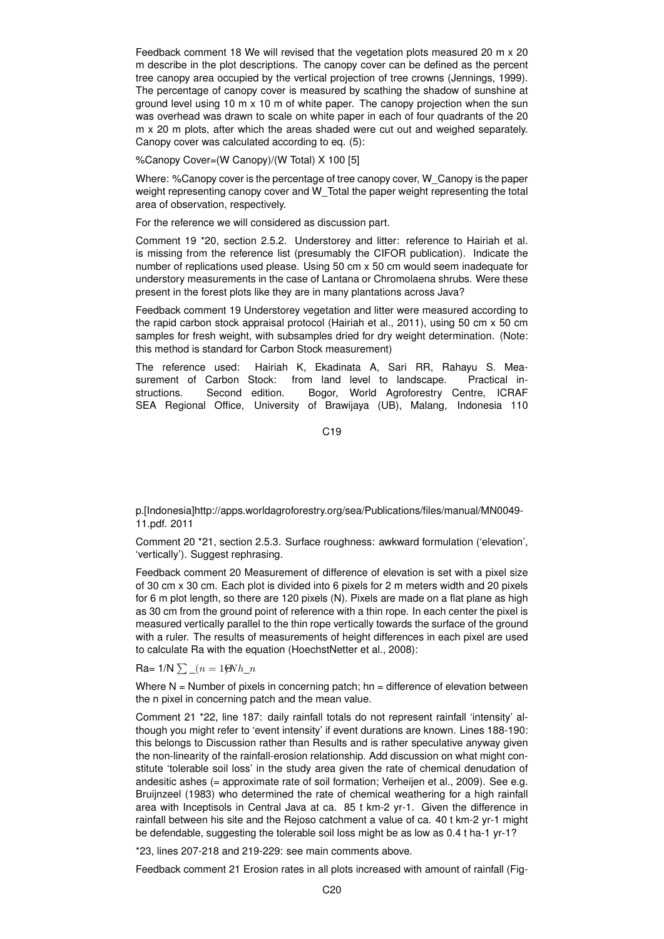Feedback comment 18 We will revised that the vegetation plots measured 20 m x 20 m describe in the plot descriptions. The canopy cover can be defined as the percent tree canopy area occupied by the vertical projection of tree crowns (Jennings, 1999). The percentage of canopy cover is measured by scathing the shadow of sunshine at ground level using 10 m  $\times$  10 m of white paper. The canopy projection when the sun was overhead was drawn to scale on white paper in each of four quadrants of the 20 m x 20 m plots, after which the areas shaded were cut out and weighed separately. Canopy cover was calculated according to eq. (5):

%Canopy Cover=(W Canopy)/(W Total) X 100 [5]

Where: %Canopy cover is the percentage of tree canopy cover, W\_Canopy is the paper weight representing canopy cover and W\_Total the paper weight representing the total area of observation, respectively.

For the reference we will considered as discussion part.

Comment 19 \*20, section 2.5.2. Understorey and litter: reference to Hairiah et al. is missing from the reference list (presumably the CIFOR publication). Indicate the number of replications used please. Using 50 cm x 50 cm would seem inadequate for understory measurements in the case of Lantana or Chromolaena shrubs. Were these present in the forest plots like they are in many plantations across Java?

Feedback comment 19 Understorey vegetation and litter were measured according to the rapid carbon stock appraisal protocol (Hairiah et al., 2011), using 50 cm x 50 cm samples for fresh weight, with subsamples dried for dry weight determination. (Note: this method is standard for Carbon Stock measurement)

The reference used: Hairiah K, Ekadinata A, Sari RR, Rahayu S. Measurement of Carbon Stock: from land level to landscape. Practical instructions. Second edition. Bogor, World Agroforestry Centre, ICRAF SEA Regional Office, University of Brawijaya (UB), Malang, Indonesia 110

C19

p.[Indonesia]http://apps.worldagroforestry.org/sea/Publications/files/manual/MN0049- 11.pdf. 2011

Comment 20 \*21, section 2.5.3. Surface roughness: awkward formulation ('elevation', 'vertically'). Suggest rephrasing.

Feedback comment 20 Measurement of difference of elevation is set with a pixel size of 30 cm x 30 cm. Each plot is divided into 6 pixels for 2 m meters width and 20 pixels for 6 m plot length, so there are 120 pixels (N). Pixels are made on a flat plane as high as 30 cm from the ground point of reference with a thin rope. In each center the pixel is measured vertically parallel to the thin rope vertically towards the surface of the ground with a ruler. The results of measurements of height differences in each pixel are used to calculate Ra with the equation (HoechstNetter et al., 2008):

Ra=  $1/N \sum (n = 1)$ ΘNh  $n$ 

Where  $N =$  Number of pixels in concerning patch; hn = difference of elevation between the n pixel in concerning patch and the mean value.

Comment 21 \*22, line 187: daily rainfall totals do not represent rainfall 'intensity' although you might refer to 'event intensity' if event durations are known. Lines 188-190: this belongs to Discussion rather than Results and is rather speculative anyway given the non-linearity of the rainfall-erosion relationship. Add discussion on what might constitute 'tolerable soil loss' in the study area given the rate of chemical denudation of andesitic ashes (= approximate rate of soil formation; Verheijen et al., 2009). See e.g. Bruijnzeel (1983) who determined the rate of chemical weathering for a high rainfall area with Inceptisols in Central Java at ca. 85 t km-2 yr-1. Given the difference in rainfall between his site and the Rejoso catchment a value of ca. 40 t km-2 yr-1 might be defendable, suggesting the tolerable soil loss might be as low as 0.4 t ha-1 yr-1?

\*23, lines 207-218 and 219-229: see main comments above.

Feedback comment 21 Erosion rates in all plots increased with amount of rainfall (Fig-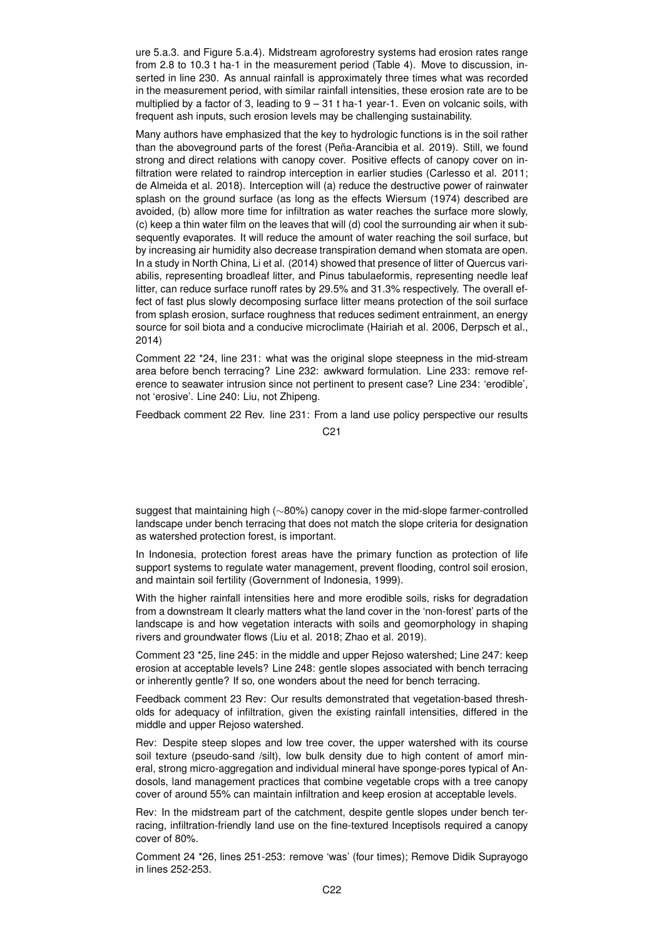ure 5.a.3. and Figure 5.a.4). Midstream agroforestry systems had erosion rates range from 2.8 to 10.3 t ha-1 in the measurement period (Table 4). Move to discussion, inserted in line 230. As annual rainfall is approximately three times what was recorded in the measurement period, with similar rainfall intensities, these erosion rate are to be multiplied by a factor of 3, leading to 9 – 31 t ha-1 year-1. Even on volcanic soils, with frequent ash inputs, such erosion levels may be challenging sustainability.

Many authors have emphasized that the key to hydrologic functions is in the soil rather than the aboveground parts of the forest (Peña-Arancibia et al. 2019). Still, we found strong and direct relations with canopy cover. Positive effects of canopy cover on infiltration were related to raindrop interception in earlier studies (Carlesso et al. 2011; de Almeida et al. 2018). Interception will (a) reduce the destructive power of rainwater splash on the ground surface (as long as the effects Wiersum (1974) described are avoided, (b) allow more time for infiltration as water reaches the surface more slowly, (c) keep a thin water film on the leaves that will (d) cool the surrounding air when it subsequently evaporates. It will reduce the amount of water reaching the soil surface, but by increasing air humidity also decrease transpiration demand when stomata are open. In a study in North China, Li et al. (2014) showed that presence of litter of Quercus variabilis, representing broadleaf litter, and Pinus tabulaeformis, representing needle leaf litter, can reduce surface runoff rates by 29.5% and 31.3% respectively. The overall effect of fast plus slowly decomposing surface litter means protection of the soil surface from splash erosion, surface roughness that reduces sediment entrainment, an energy source for soil biota and a conducive microclimate (Hairiah et al. 2006, Derpsch et al., 2014)

Comment 22 \*24, line 231: what was the original slope steepness in the mid-stream area before bench terracing? Line 232: awkward formulation. Line 233: remove reference to seawater intrusion since not pertinent to present case? Line 234: 'erodible', not 'erosive'. Line 240: Liu, not Zhipeng.

Feedback comment 22 Rev. line 231: From a land use policy perspective our results

C21

suggest that maintaining high (∼80%) canopy cover in the mid-slope farmer-controlled landscape under bench terracing that does not match the slope criteria for designation as watershed protection forest, is important.

In Indonesia, protection forest areas have the primary function as protection of life support systems to regulate water management, prevent flooding, control soil erosion, and maintain soil fertility (Government of Indonesia, 1999).

With the higher rainfall intensities here and more erodible soils, risks for degradation from a downstream It clearly matters what the land cover in the 'non-forest' parts of the landscape is and how vegetation interacts with soils and geomorphology in shaping rivers and groundwater flows (Liu et al. 2018; Zhao et al. 2019).

Comment 23 \*25, line 245: in the middle and upper Rejoso watershed; Line 247: keep erosion at acceptable levels? Line 248: gentle slopes associated with bench terracing or inherently gentle? If so, one wonders about the need for bench terracing.

Feedback comment 23 Rev: Our results demonstrated that vegetation-based thresholds for adequacy of infiltration, given the existing rainfall intensities, differed in the middle and upper Rejoso watershed.

Rev: Despite steep slopes and low tree cover, the upper watershed with its course soil texture (pseudo-sand /silt), low bulk density due to high content of amorf mineral, strong micro-aggregation and individual mineral have sponge-pores typical of Andosols, land management practices that combine vegetable crops with a tree canopy cover of around 55% can maintain infiltration and keep erosion at acceptable levels.

Rev: In the midstream part of the catchment, despite gentle slopes under bench terracing, infiltration-friendly land use on the fine-textured Inceptisols required a canopy cover of 80%.

Comment 24 \*26, lines 251-253: remove 'was' (four times); Remove Didik Suprayogo in lines 252-253.